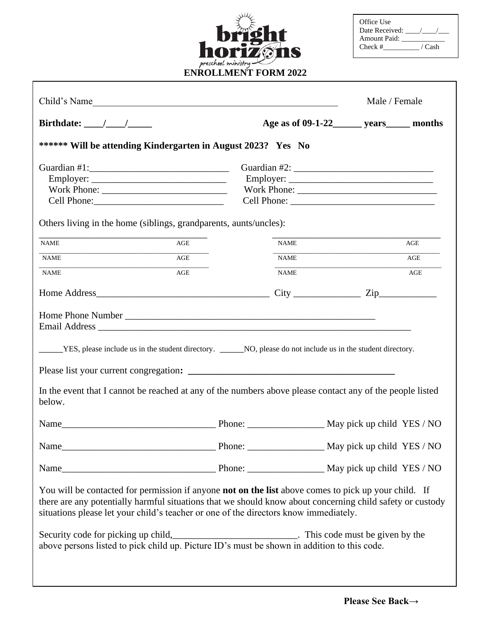| <b>h</b>                                           |
|----------------------------------------------------|
| noriz<br>$\gamma$<br>IS<br>Π<br>preschool ministry |
| <b>ENROLLMENT FORM 2022</b>                        |

| Office Use          |        |
|---------------------|--------|
| Date Received:      |        |
| <b>Amount Paid:</b> |        |
| Check#              | / Cash |

| Child's Name                                                                                                                                                                                                                                                                                                     |                | Male / Female                                                                                                                         |  |     |
|------------------------------------------------------------------------------------------------------------------------------------------------------------------------------------------------------------------------------------------------------------------------------------------------------------------|----------------|---------------------------------------------------------------------------------------------------------------------------------------|--|-----|
| Birthdate: $\frac{\sqrt{2}}{2}$                                                                                                                                                                                                                                                                                  |                | Age as of 09-1-22 years months                                                                                                        |  |     |
| ****** Will be attending Kindergarten in August 2023? Yes No                                                                                                                                                                                                                                                     |                |                                                                                                                                       |  |     |
|                                                                                                                                                                                                                                                                                                                  |                |                                                                                                                                       |  |     |
| $Employer: \_$                                                                                                                                                                                                                                                                                                   | $Employer: \_$ |                                                                                                                                       |  |     |
|                                                                                                                                                                                                                                                                                                                  |                |                                                                                                                                       |  |     |
| Cell Phone:                                                                                                                                                                                                                                                                                                      |                |                                                                                                                                       |  |     |
| Others living in the home (siblings, grandparents, aunts/uncles):                                                                                                                                                                                                                                                |                |                                                                                                                                       |  |     |
| <b>NAME</b><br>AGE                                                                                                                                                                                                                                                                                               |                | <b>NAME</b>                                                                                                                           |  | AGE |
| <b>NAME</b><br>AGE                                                                                                                                                                                                                                                                                               |                | <b>NAME</b><br><u> 1989 - Johann John Harry Harry Harry Harry Harry Harry Harry Harry Harry Harry Harry Harry Harry Harry Harry H</u> |  | AGE |
| <b>NAME</b><br>AGE                                                                                                                                                                                                                                                                                               |                | <b>NAME</b>                                                                                                                           |  | AGE |
|                                                                                                                                                                                                                                                                                                                  |                |                                                                                                                                       |  |     |
| YES, please include us in the student directory. _______NO, please do not include us in the student directory.<br>In the event that I cannot be reached at any of the numbers above please contact any of the people listed<br>below.                                                                            |                |                                                                                                                                       |  |     |
| Name May pick up child YES / NO                                                                                                                                                                                                                                                                                  |                |                                                                                                                                       |  |     |
| Name May pick up child YES / NO                                                                                                                                                                                                                                                                                  |                |                                                                                                                                       |  |     |
|                                                                                                                                                                                                                                                                                                                  |                |                                                                                                                                       |  |     |
| You will be contacted for permission if anyone <b>not on the list</b> above comes to pick up your child. If<br>there are any potentially harmful situations that we should know about concerning child safety or custody<br>situations please let your child's teacher or one of the directors know immediately. |                |                                                                                                                                       |  |     |
| Security code for picking up child,<br>above persons listed to pick child up. Picture ID's must be shown in addition to this code.                                                                                                                                                                               |                |                                                                                                                                       |  |     |